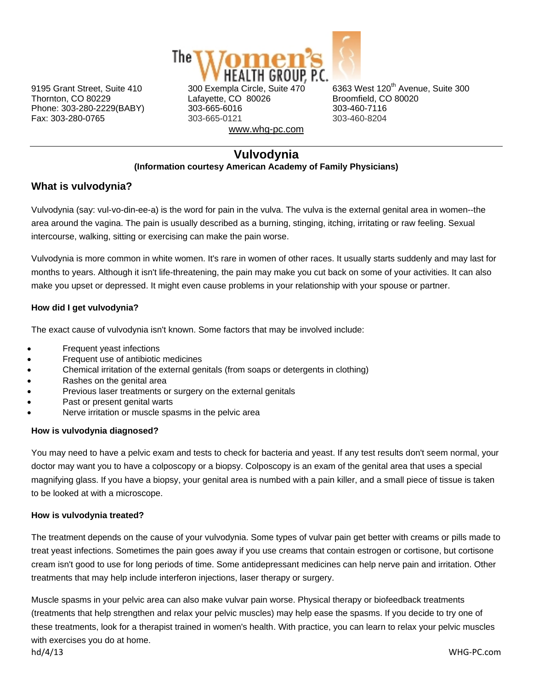

Phone: 303-280-2229(BABY) 303-665-6016

Thornton, CO 80229 **Lafayette, CO 80026** Broomfield, CO 80020<br>
Phone: 303-280-2229(BABY) 303-665-6016 303-460-7116 Fax: 303-280-0765 303-665-0121 303-460-8204 www.whg-pc.com

9195 Grant Street, Suite 410 300 Exempla Circle, Suite  $470$  6363 West 120<sup>th</sup> Avenue. Suite 300

## **Vulvodynia (Information courtesy American Academy of Family Physicians)**

# **What is vulvodynia?**

Vulvodynia (say: vul-vo-din-ee-a) is the word for pain in the vulva. The vulva is the external genital area in women--the area around the vagina. The pain is usually described as a burning, stinging, itching, irritating or raw feeling. Sexual intercourse, walking, sitting or exercising can make the pain worse.

Vulvodynia is more common in white women. It's rare in women of other races. It usually starts suddenly and may last for months to years. Although it isn't life-threatening, the pain may make you cut back on some of your activities. It can also make you upset or depressed. It might even cause problems in your relationship with your spouse or partner.

## **How did I get vulvodynia?**

The exact cause of vulvodynia isn't known. Some factors that may be involved include:

- Frequent yeast infections
- Frequent use of antibiotic medicines
- Chemical irritation of the external genitals (from soaps or detergents in clothing)
- Rashes on the genital area
- Previous laser treatments or surgery on the external genitals
- Past or present genital warts
- Nerve irritation or muscle spasms in the pelvic area

#### **How is vulvodynia diagnosed?**

You may need to have a pelvic exam and tests to check for bacteria and yeast. If any test results don't seem normal, your doctor may want you to have a colposcopy or a biopsy. Colposcopy is an exam of the genital area that uses a special magnifying glass. If you have a biopsy, your genital area is numbed with a pain killer, and a small piece of tissue is taken to be looked at with a microscope.

#### **How is vulvodynia treated?**

The treatment depends on the cause of your vulvodynia. Some types of vulvar pain get better with creams or pills made to treat yeast infections. Sometimes the pain goes away if you use creams that contain estrogen or cortisone, but cortisone cream isn't good to use for long periods of time. Some antidepressant medicines can help nerve pain and irritation. Other treatments that may help include interferon injections, laser therapy or surgery.

hd/4/13 WHG‐PC.com Muscle spasms in your pelvic area can also make vulvar pain worse. Physical therapy or biofeedback treatments (treatments that help strengthen and relax your pelvic muscles) may help ease the spasms. If you decide to try one of these treatments, look for a therapist trained in women's health. With practice, you can learn to relax your pelvic muscles with exercises you do at home.